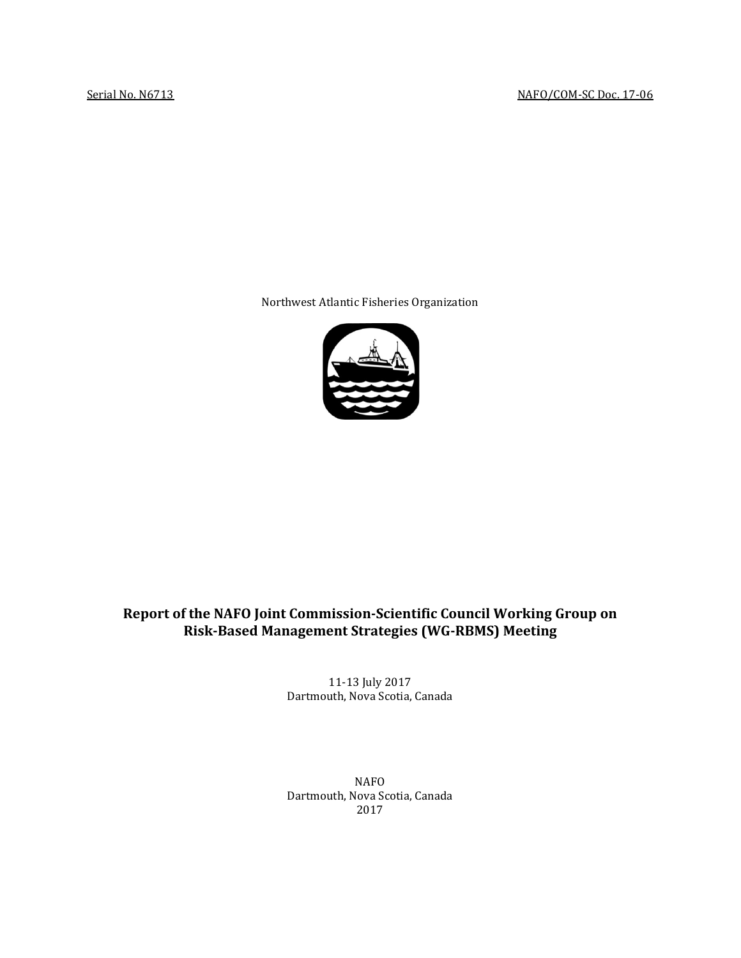Northwest Atlantic Fisheries Organization



# **Report of the NAFO Joint Commission-Scientific Council Working Group on Risk-Based Management Strategies (WG-RBMS) Meeting**

11-13 July 2017 Dartmouth, Nova Scotia, Canada

NAFO Dartmouth, Nova Scotia, Canada 2017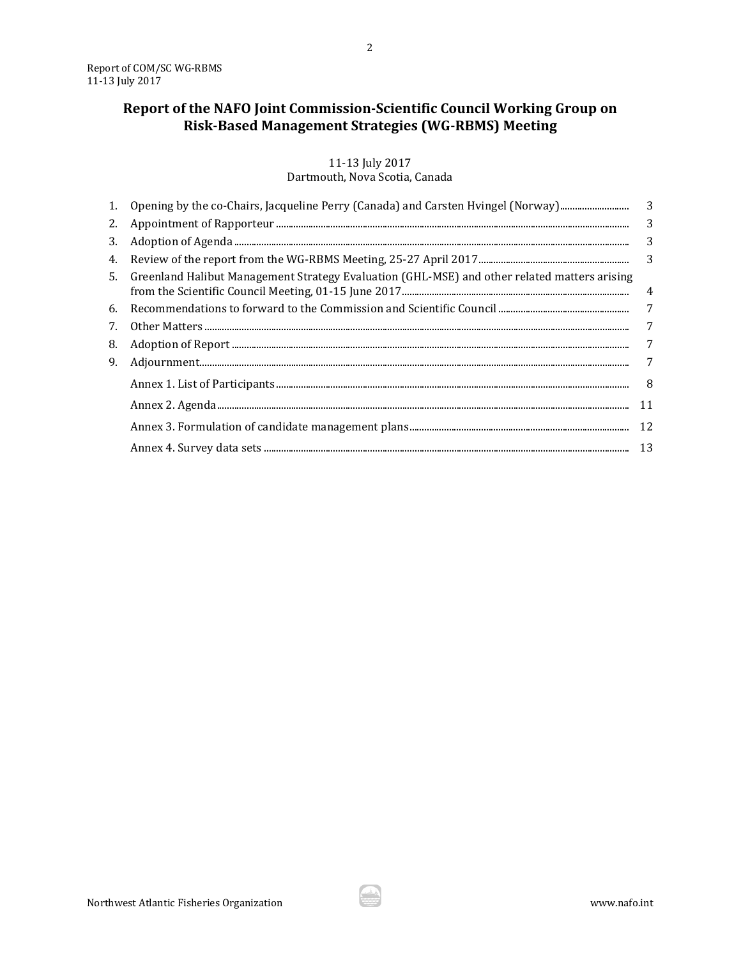# **Report of the NAFO Joint Commission-Scientific Council Working Group on Risk-Based Management Strategies (WG-RBMS) Meeting**

# 11-13 July 2017

## Dartmouth, Nova Scotia, Canada

| 1. | Opening by the co-Chairs, Jacqueline Perry (Canada) and Carsten Hvingel (Norway)                | 3  |
|----|-------------------------------------------------------------------------------------------------|----|
|    |                                                                                                 | 3  |
| 3. |                                                                                                 | 3  |
| 4. |                                                                                                 | 3  |
|    | 5. Greenland Halibut Management Strategy Evaluation (GHL-MSE) and other related matters arising | 4  |
|    |                                                                                                 | 7  |
| 7. |                                                                                                 | 7  |
| 8. |                                                                                                 | 7  |
| 9. |                                                                                                 | 7  |
|    |                                                                                                 | 8  |
|    |                                                                                                 | 11 |
|    |                                                                                                 |    |
|    |                                                                                                 |    |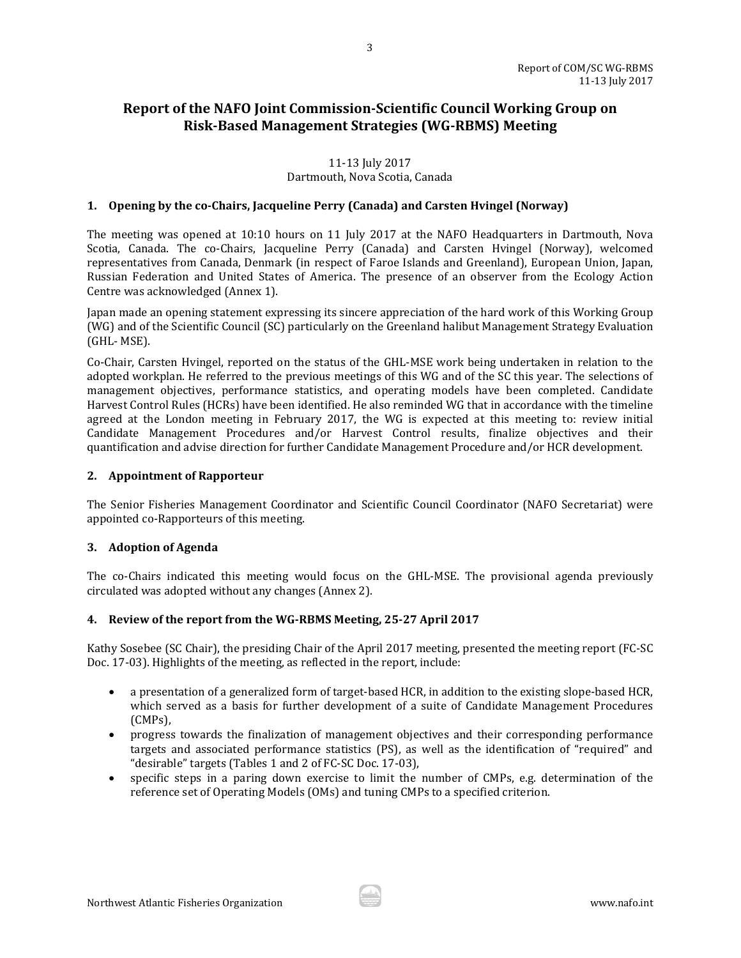# **Report of the NAFO Joint Commission-Scientific Council Working Group on Risk-Based Management Strategies (WG-RBMS) Meeting**

# 11-13 July 2017

# Dartmouth, Nova Scotia, Canada

## <span id="page-2-0"></span>**1. Opening by the co-Chairs, Jacqueline Perry (Canada) and Carsten Hvingel (Norway)**

The meeting was opened at 10:10 hours on 11 July 2017 at the NAFO Headquarters in Dartmouth, Nova Scotia, Canada. The co-Chairs, Jacqueline Perry (Canada) and Carsten Hvingel (Norway), welcomed representatives from Canada, Denmark (in respect of Faroe Islands and Greenland), European Union, Japan, Russian Federation and United States of America. The presence of an observer from the Ecology Action Centre was acknowledged (Annex 1).

Japan made an opening statement expressing its sincere appreciation of the hard work of this Working Group (WG) and of the Scientific Council (SC) particularly on the Greenland halibut Management Strategy Evaluation (GHL- MSE).

Co-Chair, Carsten Hvingel, reported on the status of the GHL-MSE work being undertaken in relation to the adopted workplan. He referred to the previous meetings of this WG and of the SC this year. The selections of management objectives, performance statistics, and operating models have been completed. Candidate Harvest Control Rules (HCRs) have been identified. He also reminded WG that in accordance with the timeline agreed at the London meeting in February 2017, the WG is expected at this meeting to: review initial Candidate Management Procedures and/or Harvest Control results, finalize objectives and their quantification and advise direction for further Candidate Management Procedure and/or HCR development.

### <span id="page-2-1"></span>**2. Appointment of Rapporteur**

The Senior Fisheries Management Coordinator and Scientific Council Coordinator (NAFO Secretariat) were appointed co-Rapporteurs of this meeting.

#### <span id="page-2-2"></span>**3. Adoption of Agenda**

The co-Chairs indicated this meeting would focus on the GHL-MSE. The provisional agenda previously circulated was adopted without any changes (Annex 2).

#### <span id="page-2-3"></span>**4. Review of the report from the WG-RBMS Meeting, 25-27 April 2017**

Kathy Sosebee (SC Chair), the presiding Chair of the April 2017 meeting, presented the meeting report (FC-SC Doc. 17-03). Highlights of the meeting, as reflected in the report, include:

- a presentation of a generalized form of target-based HCR, in addition to the existing slope-based HCR, which served as a basis for further development of a suite of Candidate Management Procedures (CMPs),
- progress towards the finalization of management objectives and their corresponding performance targets and associated performance statistics (PS), as well as the identification of "required" and "desirable" targets (Tables 1 and 2 of FC-SC Doc. 17-03),
- specific steps in a paring down exercise to limit the number of CMPs, e.g. determination of the reference set of Operating Models (OMs) and tuning CMPs to a specified criterion.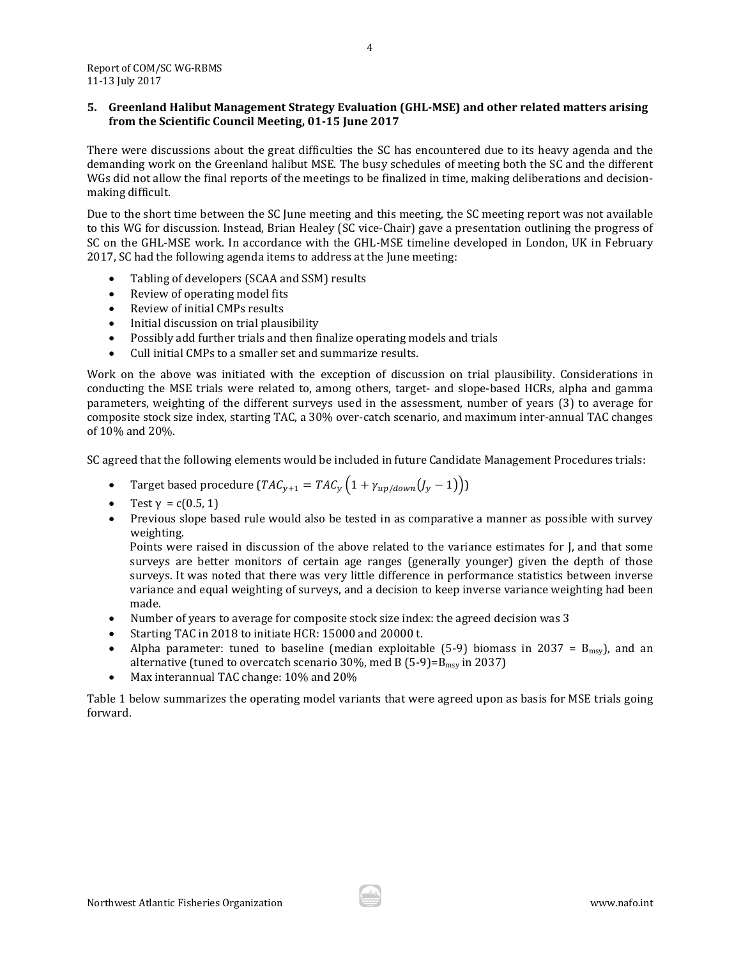#### <span id="page-3-0"></span>**5. Greenland Halibut Management Strategy Evaluation (GHL-MSE) and other related matters arising from the Scientific Council Meeting, 01-15 June 2017**

There were discussions about the great difficulties the SC has encountered due to its heavy agenda and the demanding work on the Greenland halibut MSE. The busy schedules of meeting both the SC and the different WGs did not allow the final reports of the meetings to be finalized in time, making deliberations and decisionmaking difficult.

Due to the short time between the SC June meeting and this meeting, the SC meeting report was not available to this WG for discussion. Instead, Brian Healey (SC vice-Chair) gave a presentation outlining the progress of SC on the GHL-MSE work. In accordance with the GHL-MSE timeline developed in London, UK in February 2017, SC had the following agenda items to address at the June meeting:

- Tabling of developers (SCAA and SSM) results
- Review of operating model fits
- Review of initial CMPs results
- Initial discussion on trial plausibility
- Possibly add further trials and then finalize operating models and trials<br>• Cull initial CMPs to a smaller set and summarize results
- Cull initial CMPs to a smaller set and summarize results.

Work on the above was initiated with the exception of discussion on trial plausibility. Considerations in conducting the MSE trials were related to, among others, target- and slope-based HCRs, alpha and gamma parameters, weighting of the different surveys used in the assessment, number of years (3) to average for composite stock size index, starting TAC, a 30% over-catch scenario, and maximum inter-annual TAC changes of 10% and 20%.

SC agreed that the following elements would be included in future Candidate Management Procedures trials:

- Target based procedure ( $TAC_{y+1} = TAC_y \left(1 + \gamma_{up/down}(J_y 1)\right)$ )
- Test γ = c(0.5, 1)
- Previous slope based rule would also be tested in as comparative a manner as possible with survey weighting.

Points were raised in discussion of the above related to the variance estimates for J, and that some surveys are better monitors of certain age ranges (generally younger) given the depth of those surveys. It was noted that there was very little difference in performance statistics between inverse variance and equal weighting of surveys, and a decision to keep inverse variance weighting had been made.

- Number of years to average for composite stock size index: the agreed decision was 3
- Starting TAC in 2018 to initiate HCR: 15000 and 20000 t.
- Alpha parameter: tuned to baseline (median exploitable (5-9) biomass in 2037 =  $B_{\text{msy}}$ ), and an alternative (tuned to overcatch scenario 30%, med B  $(5-9)=B_{\text{msy}}$  in 2037)
- Max interannual TAC change: 10% and 20%

Table 1 below summarizes the operating model variants that were agreed upon as basis for MSE trials going forward.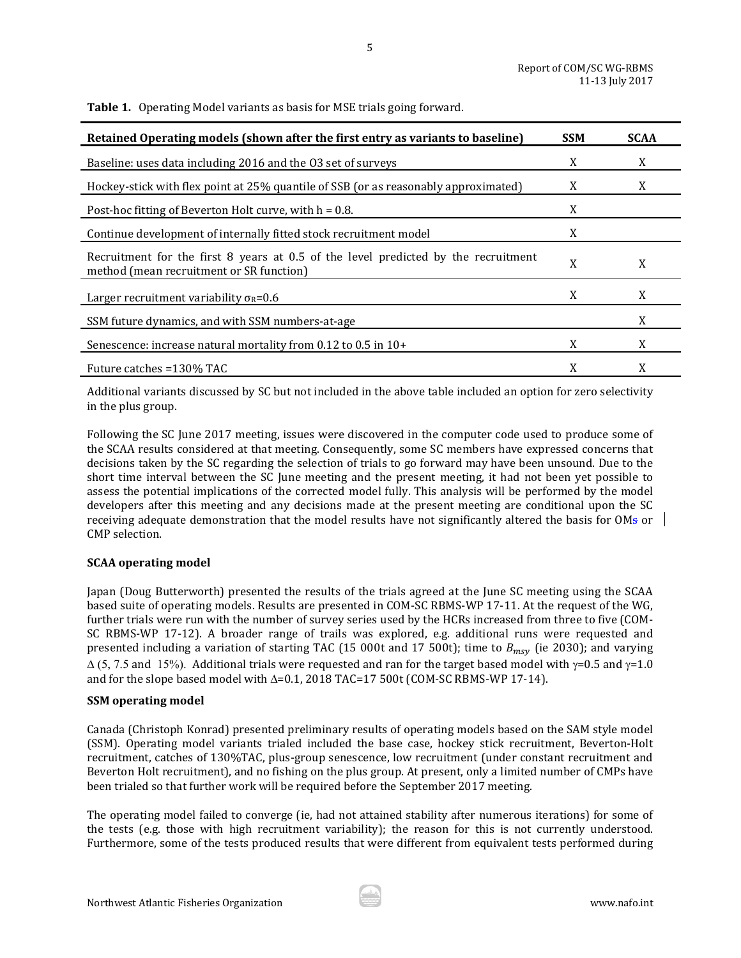**Table 1.** Operating Model variants as basis for MSE trials going forward.

| Retained Operating models (shown after the first entry as variants to baseline)                                                | <b>SSM</b> | <b>SCAA</b> |
|--------------------------------------------------------------------------------------------------------------------------------|------------|-------------|
| Baseline: uses data including 2016 and the 03 set of surveys                                                                   | X          | X           |
| Hockey-stick with flex point at 25% quantile of SSB (or as reasonably approximated)                                            | X          | X           |
| Post-hoc fitting of Beverton Holt curve, with $h = 0.8$ .                                                                      | X          |             |
| Continue development of internally fitted stock recruitment model                                                              | X          |             |
| Recruitment for the first 8 years at 0.5 of the level predicted by the recruitment<br>method (mean recruitment or SR function) |            | X           |
| Larger recruitment variability $\sigma_{\rm R}$ =0.6                                                                           | X          | X           |
| SSM future dynamics, and with SSM numbers-at-age                                                                               |            | X           |
| Senescence: increase natural mortality from 0.12 to 0.5 in 10+                                                                 | X          | X           |
| Future catches =130% TAC                                                                                                       | X          | X           |

5

Additional variants discussed by SC but not included in the above table included an option for zero selectivity in the plus group.

Following the SC June 2017 meeting, issues were discovered in the computer code used to produce some of the SCAA results considered at that meeting. Consequently, some SC members have expressed concerns that decisions taken by the SC regarding the selection of trials to go forward may have been unsound. Due to the short time interval between the SC June meeting and the present meeting, it had not been yet possible to assess the potential implications of the corrected model fully. This analysis will be performed by the model developers after this meeting and any decisions made at the present meeting are conditional upon the SC receiving adequate demonstration that the model results have not significantly altered the basis for OMs or CMP selection.

#### **SCAA operating model**

Japan (Doug Butterworth) presented the results of the trials agreed at the June SC meeting using the SCAA based suite of operating models. Results are presented in COM-SC RBMS-WP 17-11. At the request of the WG, further trials were run with the number of survey series used by the HCRs increased from three to five (COM-SC RBMS-WP 17-12). A broader range of trails was explored, e.g. additional runs were requested and presented including a variation of starting TAC (15 000t and 17 500t); time to  $B_{msv}$  (ie 2030); and varying  $\Delta$  (5, 7.5 and 15%). Additional trials were requested and ran for the target based model with  $\gamma$ =0.5 and  $\gamma$ =1.0 and for the slope based model with ∆=0.1, 2018 TAC=17 500t (COM-SC RBMS-WP 17-14).

#### **SSM operating model**

Canada (Christoph Konrad) presented preliminary results of operating models based on the SAM style model (SSM). Operating model variants trialed included the base case, hockey stick recruitment, Beverton-Holt recruitment, catches of 130%TAC, plus-group senescence, low recruitment (under constant recruitment and Beverton Holt recruitment), and no fishing on the plus group. At present, only a limited number of CMPs have been trialed so that further work will be required before the September 2017 meeting.

The operating model failed to converge (ie, had not attained stability after numerous iterations) for some of the tests (e.g. those with high recruitment variability); the reason for this is not currently understood. Furthermore, some of the tests produced results that were different from equivalent tests performed during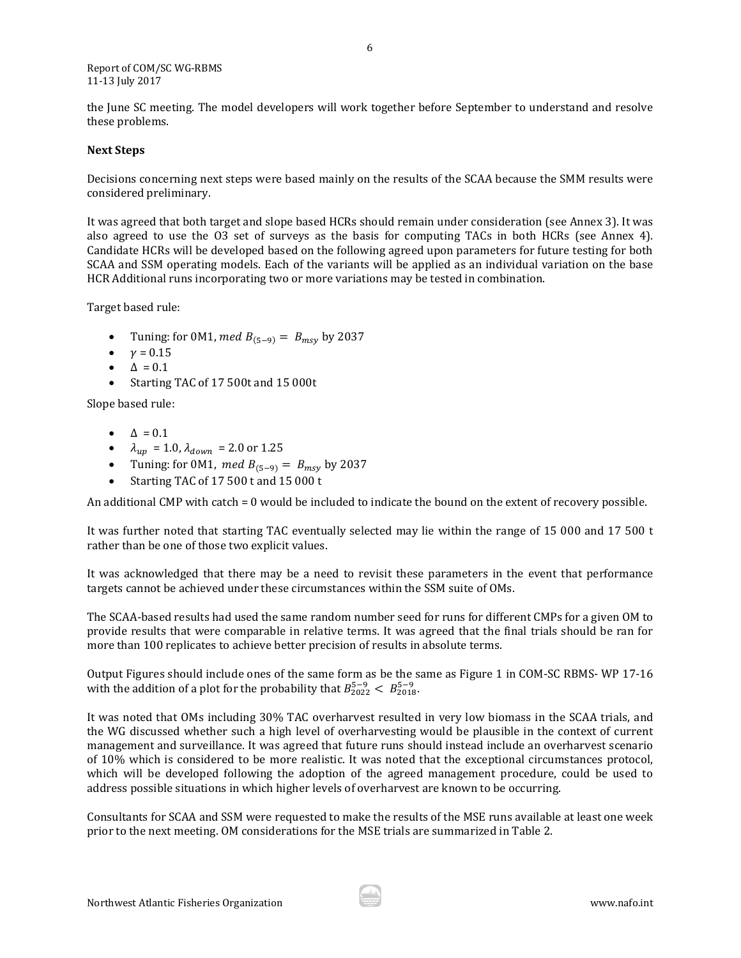#### Report of COM/SC WG-RBMS 11-13 July 2017

the June SC meeting. The model developers will work together before September to understand and resolve these problems.

#### **Next Steps**

Decisions concerning next steps were based mainly on the results of the SCAA because the SMM results were considered preliminary.

It was agreed that both target and slope based HCRs should remain under consideration (see Annex 3). It was also agreed to use the O3 set of surveys as the basis for computing TACs in both HCRs (see Annex 4). Candidate HCRs will be developed based on the following agreed upon parameters for future testing for both SCAA and SSM operating models. Each of the variants will be applied as an individual variation on the base HCR Additional runs incorporating two or more variations may be tested in combination.

Target based rule:

- Tuning: for 0M1, med  $B_{(5-9)} = B_{msv}$  by 2037
- $v = 0.15$
- $\Delta = 0.1$
- Starting TAC of 17 500t and 15 000t

Slope based rule:

- $\bullet$   $\Delta = 0.1$
- $\lambda_{up} = 1.0, \lambda_{down} = 2.0 \text{ or } 1.25$
- Tuning: for 0M1, med  $B_{(5-9)} = B_{msy}$  by 2037
- Starting TAC of 17 500 t and 15 000 t

An additional CMP with catch = 0 would be included to indicate the bound on the extent of recovery possible.

It was further noted that starting TAC eventually selected may lie within the range of 15 000 and 17 500 t rather than be one of those two explicit values.

It was acknowledged that there may be a need to revisit these parameters in the event that performance targets cannot be achieved under these circumstances within the SSM suite of OMs.

The SCAA-based results had used the same random number seed for runs for different CMPs for a given OM to provide results that were comparable in relative terms. It was agreed that the final trials should be ran for more than 100 replicates to achieve better precision of results in absolute terms.

Output Figures should include ones of the same form as be the same as Figure 1 in COM-SC RBMS- WP 17-16 with the addition of a plot for the probability that  $B_{2022}^{5-9} < B_{2018}^{5-9}$ .

It was noted that OMs including 30% TAC overharvest resulted in very low biomass in the SCAA trials, and the WG discussed whether such a high level of overharvesting would be plausible in the context of current management and surveillance. It was agreed that future runs should instead include an overharvest scenario of 10% which is considered to be more realistic. It was noted that the exceptional circumstances protocol, which will be developed following the adoption of the agreed management procedure, could be used to address possible situations in which higher levels of overharvest are known to be occurring.

Consultants for SCAA and SSM were requested to make the results of the MSE runs available at least one week prior to the next meeting. OM considerations for the MSE trials are summarized in Table 2.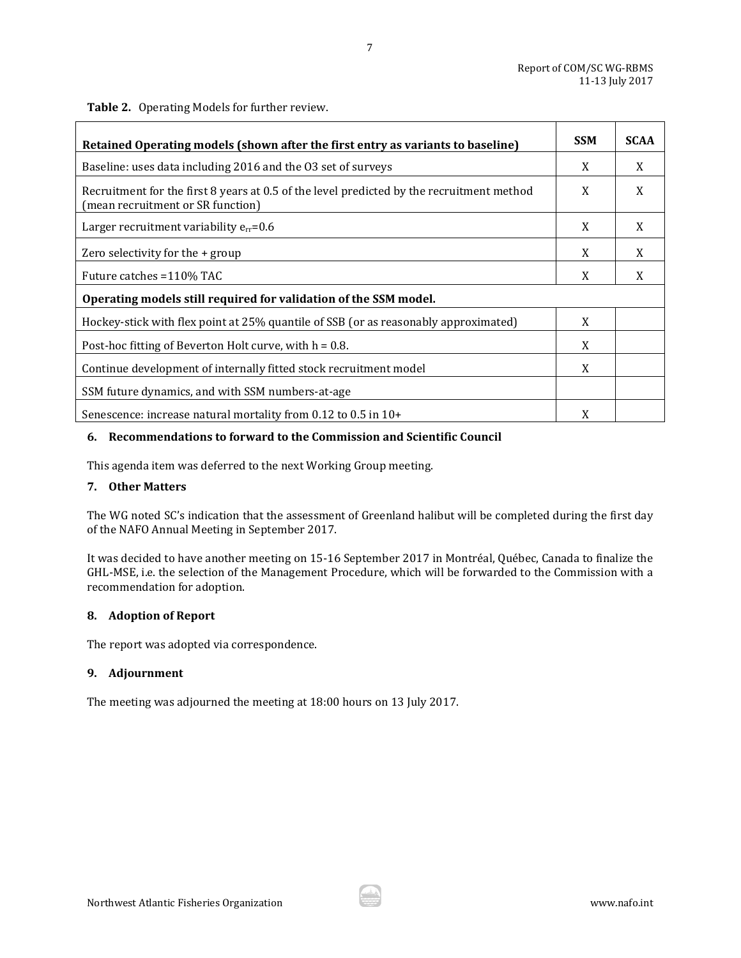**Table 2.** Operating Models for further review.

| Retained Operating models (shown after the first entry as variants to baseline)                                                | <b>SSM</b> | <b>SCAA</b> |  |  |
|--------------------------------------------------------------------------------------------------------------------------------|------------|-------------|--|--|
| Baseline: uses data including 2016 and the 03 set of surveys                                                                   | X          | X           |  |  |
| Recruitment for the first 8 years at 0.5 of the level predicted by the recruitment method<br>(mean recruitment or SR function) |            | X           |  |  |
| Larger recruitment variability $e_{rr} = 0.6$                                                                                  | X          | X           |  |  |
| Zero selectivity for the + group                                                                                               | X          | X           |  |  |
| Future catches = 110% TAC                                                                                                      |            | X           |  |  |
| Operating models still required for validation of the SSM model.                                                               |            |             |  |  |
| Hockey-stick with flex point at 25% quantile of SSB (or as reasonably approximated)                                            | X          |             |  |  |
| Post-hoc fitting of Beverton Holt curve, with $h = 0.8$ .                                                                      |            |             |  |  |
| Continue development of internally fitted stock recruitment model                                                              |            |             |  |  |
| SSM future dynamics, and with SSM numbers-at-age                                                                               |            |             |  |  |
| Senescence: increase natural mortality from 0.12 to 0.5 in 10+                                                                 | X          |             |  |  |

#### <span id="page-6-0"></span>**6. Recommendations to forward to the Commission and Scientific Council**

This agenda item was deferred to the next Working Group meeting.

## <span id="page-6-1"></span>**7. Other Matters**

The WG noted SC's indication that the assessment of Greenland halibut will be completed during the first day of the NAFO Annual Meeting in September 2017.

It was decided to have another meeting on 15-16 September 2017 in Montréal, Québec, Canada to finalize the GHL-MSE, i.e. the selection of the Management Procedure, which will be forwarded to the Commission with a recommendation for adoption.

#### <span id="page-6-2"></span>**8. Adoption of Report**

The report was adopted via correspondence.

## <span id="page-6-3"></span>**9. Adjournment**

The meeting was adjourned the meeting at 18:00 hours on 13 July 2017.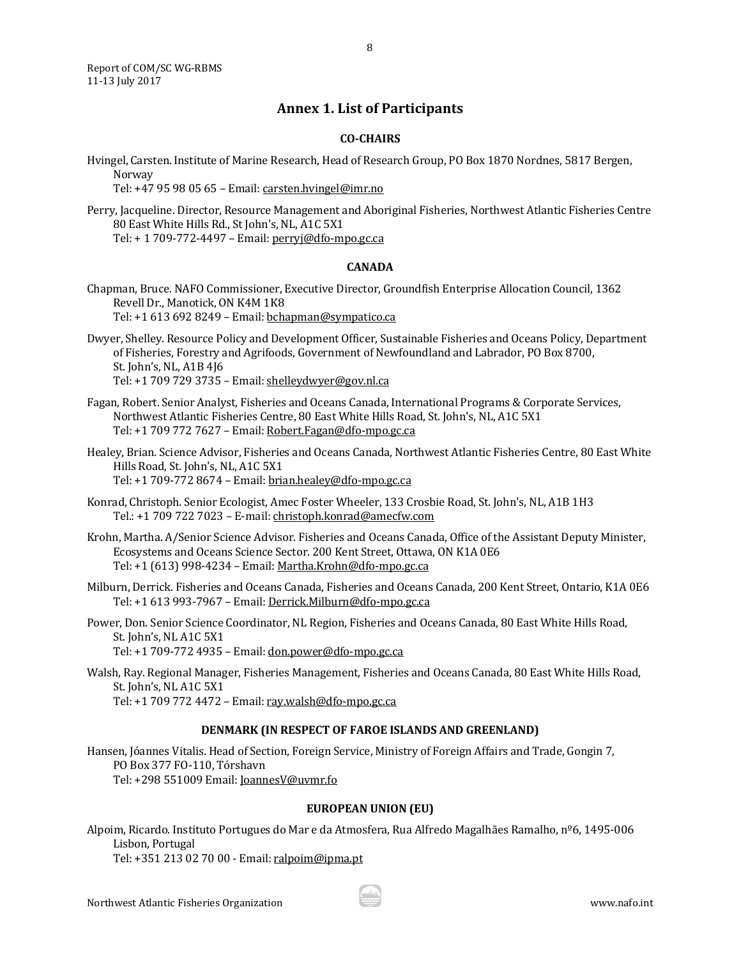<span id="page-7-0"></span>Report of COM/SC WG-RBMS 11-13 July 2017

### **Annex 1. List of Participants**

8

#### **CO-CHAIRS**

Hvingel, Carsten. Institute of Marine Research, Head of Research Group, PO Box 1870 Nordnes, 5817 Bergen, Norway

Tel: +47 95 98 05 65 – Email[: carsten.hvingel@imr.no](mailto:carsten.hvingel@imr.no)

#### **CANADA**

Chapman, Bruce. NAFO Commissioner, Executive Director, Groundfish Enterprise Allocation Council, 1362 Revell Dr., Manotick, ON K4M 1K8

Tel: +1 613 692 8249 – Email[: bchapman@sympatico.ca](mailto:bchapman@sympatico.ca)

- Dwyer, Shelley. Resource Policy and Development Officer, Sustainable Fisheries and Oceans Policy, Department of Fisheries, Forestry and Agrifoods, Government of Newfoundland and Labrador, PO Box 8700, St. John's, NL, A1B 4J6 Tel: +1 709 729 3735 – Email[: shelleydwyer@gov.nl.ca](mailto:shelleydwyer@gov.nl.ca)
- Fagan, Robert. Senior Analyst, Fisheries and Oceans Canada, International Programs & Corporate Services, Northwest Atlantic Fisheries Centre, 80 East White Hills Road, St. John's, NL, A1C 5X1 Tel: +1 709 772 7627 – Email[: Robert.Fagan@dfo-mpo.gc.ca](mailto:Robert.Fagan@dfo-mpo.gc.ca)
- Healey, Brian. Science Advisor, Fisheries and Oceans Canada, Northwest Atlantic Fisheries Centre, 80 East White Hills Road, St. John's, NL, A1C 5X1 Tel: +1 709-772 8674 – Email: [brian.healey@dfo-mpo.gc.ca](mailto:brian.healey@dfo-mpo.gc.ca)
- Konrad, Christoph. Senior Ecologist, Amec Foster Wheeler, 133 Crosbie Road, St. John's, NL, A1B 1H3 Tel.: +1 709 722 7023 – E-mail: [christoph.konrad@amecfw.com](mailto:christoph.konrad@amecfw.com)
- Krohn, Martha. A/Senior Science Advisor. Fisheries and Oceans Canada, Office of the Assistant Deputy Minister, Ecosystems and Oceans Science Sector. 200 Kent Street, Ottawa, ON K1A 0E6 Tel: +1 (613) 998-4234 – Email[: Martha.Krohn@dfo-mpo.gc.ca](mailto:Martha.Krohn@dfo-mpo.gc.ca)
- Milburn, Derrick. Fisheries and Oceans Canada, Fisheries and Oceans Canada, 200 Kent Street, Ontario, K1A 0E6 Tel: +1 613 993-7967 – Email: [Derrick.Milburn@dfo-mpo.gc.ca](mailto:Derrick.Milburn@dfo-mpo.gc.ca)

Power, Don. Senior Science Coordinator, NL Region, Fisheries and Oceans Canada, 80 East White Hills Road, St. John's, NL A1C 5X1 Tel: +1 709-772 4935 – Email: [don.power@dfo-mpo.gc.ca](mailto:don.power@dfo-mpo.gc.ca)

Walsh, Ray. Regional Manager, Fisheries Management, Fisheries and Oceans Canada, 80 East White Hills Road, St. John's, NL A1C 5X1 Tel: +1 709 772 4472 – Email[: ray.walsh@dfo-mpo.gc.ca](mailto:ray.walsh@dfo-mpo.gc.ca)

#### **DENMARK (IN RESPECT OF FAROE ISLANDS AND GREENLAND)**

Hansen, Jóannes Vitalis. Head of Section, Foreign Service, Ministry of Foreign Affairs and Trade, Gongin 7, PO Box 377 FO-110, Tórshavn Tel: +298 551009 Email[: JoannesV@uvmr.fo](mailto:JoannesV@uvmr.fo)

#### **EUROPEAN UNION (EU)**

Alpoim, Ricardo. Instituto Portugues do Mar e da Atmosfera, Rua Alfredo Magalhães Ramalho, nº6, 1495-006 Lisbon, Portugal Tel: +351 213 02 70 00 - Email[: ralpoim@ipma.pt](mailto:ralpoim@ipma.pt)

Perry, Jacqueline. Director, Resource Management and Aboriginal Fisheries, Northwest Atlantic Fisheries Centre 80 East White Hills Rd., St John's, NL, A1C 5X1 Tel: + 1 709-772-4497 – Email[: perryj@dfo-mpo.gc.ca](mailto:perryj@dfo-mpo.gc.ca)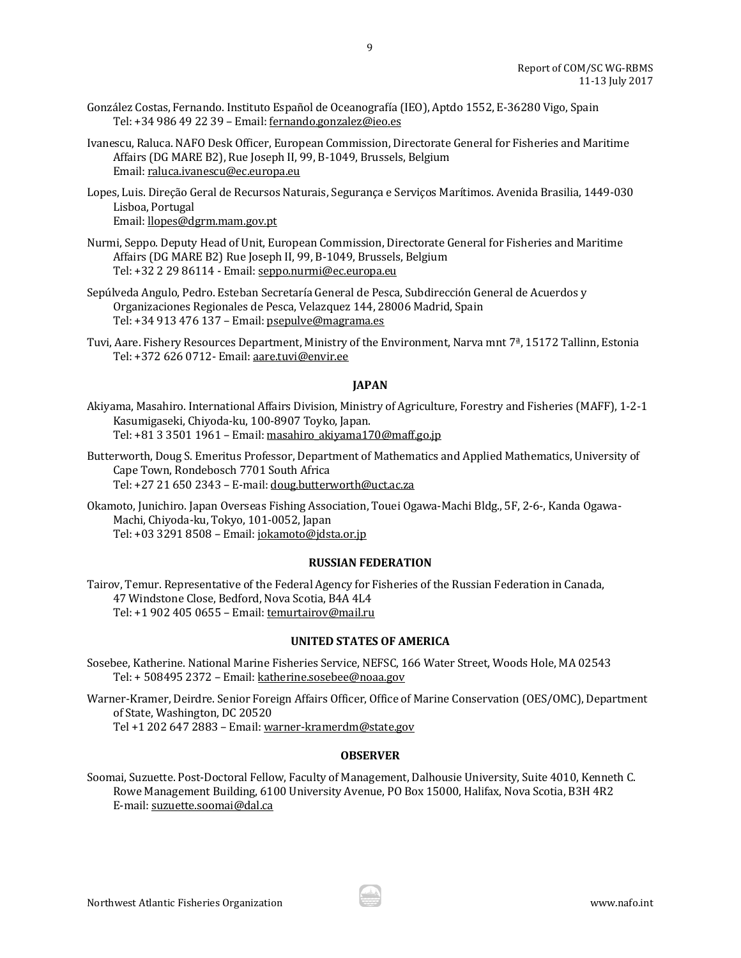- González Costas, Fernando. Instituto Español de Oceanografía (IEO), Aptdo 1552, E-36280 Vigo, Spain Tel: +34 986 49 22 39 – Email: [fernando.gonzalez@ieo.es](mailto:fernando.gonzalez@ieo.es)
- Ivanescu, Raluca. NAFO Desk Officer, European Commission, Directorate General for Fisheries and Maritime Affairs (DG MARE B2), Rue Joseph II, 99, B-1049, Brussels, Belgium Email[: raluca.ivanescu@ec.europa.eu](mailto:raluca.ivanescu@ec.europa.eu)

9

Lopes, Luis. Direção Geral de Recursos Naturais, Segurança e Serviços Marítimos. Avenida Brasilia, 1449-030 Lisboa, Portugal Email[: llopes@dgrm.mam.gov.pt](mailto:llopes@dgrm.mam.gov.pt)

- Nurmi, Seppo. Deputy Head of Unit, European Commission, Directorate General for Fisheries and Maritime Affairs (DG MARE B2) Rue Joseph II, 99, B-1049, Brussels, Belgium Tel: +32 2 29 86114 - Email[: seppo.nurmi@ec.europa.eu](mailto:seppo.nurmi@ec.europa.eu)
- Sepúlveda Angulo, Pedro. Esteban Secretaría General de Pesca, Subdirección General de Acuerdos y Organizaciones Regionales de Pesca, Velazquez 144, 28006 Madrid, Spain Tel: +34 913 476 137 – Email[: psepulve@magrama.es](mailto:psepulve@magrama.es)
- Tuvi, Aare. Fishery Resources Department, Ministry of the Environment, Narva mnt 7ª, 15172 Tallinn, Estonia Tel: +372 626 0712- Email[: aare.tuvi@envir.ee](mailto:aare.tuvi@envir.ee)

## **JAPAN**

Akiyama, Masahiro. International Affairs Division, Ministry of Agriculture, Forestry and Fisheries (MAFF), 1-2-1 Kasumigaseki, Chiyoda-ku, 100-8907 Toyko, Japan. Tel: +81 3 3501 1961 – Email[: masahiro\\_akiyama170@maff.go.jp](mailto:masahiro_akiyama170@maff.go.jp)

Butterworth, Doug S. Emeritus Professor, Department of Mathematics and Applied Mathematics, University of Cape Town, Rondebosch 7701 South Africa Tel: +27 21 650 2343 – E-mail: [doug.butterworth@uct.ac.za](mailto:doug.butterworth@uct.ac.za)

Okamoto, Junichiro. Japan Overseas Fishing Association, Touei Ogawa-Machi Bldg., 5F, 2-6-, Kanda Ogawa-Machi, Chiyoda-ku, Tokyo, 101-0052, Japan Tel: +03 3291 8508 – Email[: jokamoto@jdsta.or.jp](mailto:jokamoto@jdsta.or.jp)

#### **RUSSIAN FEDERATION**

Tairov, Temur. Representative of the Federal Agency for Fisheries of the Russian Federation in Canada, 47 Windstone Close, Bedford, Nova Scotia, B4A 4L4 Tel: +1 902 405 0655 – Email[: temurtairov@mail.ru](mailto:temurtairov@mail.ru)

#### **UNITED STATES OF AMERICA**

Sosebee, Katherine. National Marine Fisheries Service, NEFSC, 166 Water Street, Woods Hole, MA 02543 Tel: + 508495 2372 – Email[: katherine.sosebee@noaa.gov](mailto:katherine.sosebee@noaa.gov)

Warner-Kramer, Deirdre. Senior Foreign Affairs Officer, Office of Marine Conservation (OES/OMC), Department of State, Washington, DC 20520

Tel +1 202 647 2883 – Email[: warner-kramerdm@state.gov](mailto:warner-kramerdm@state.gov)

## **OBSERVER**

Soomai, Suzuette. Post-Doctoral Fellow, Faculty of Management, Dalhousie University, Suite 4010, Kenneth C. Rowe Management Building, 6100 University Avenue, PO Box 15000, Halifax, Nova Scotia, B3H 4R2 E-mail[: suzuette.soomai@dal.ca](mailto:suzuette.soomai@dal.ca)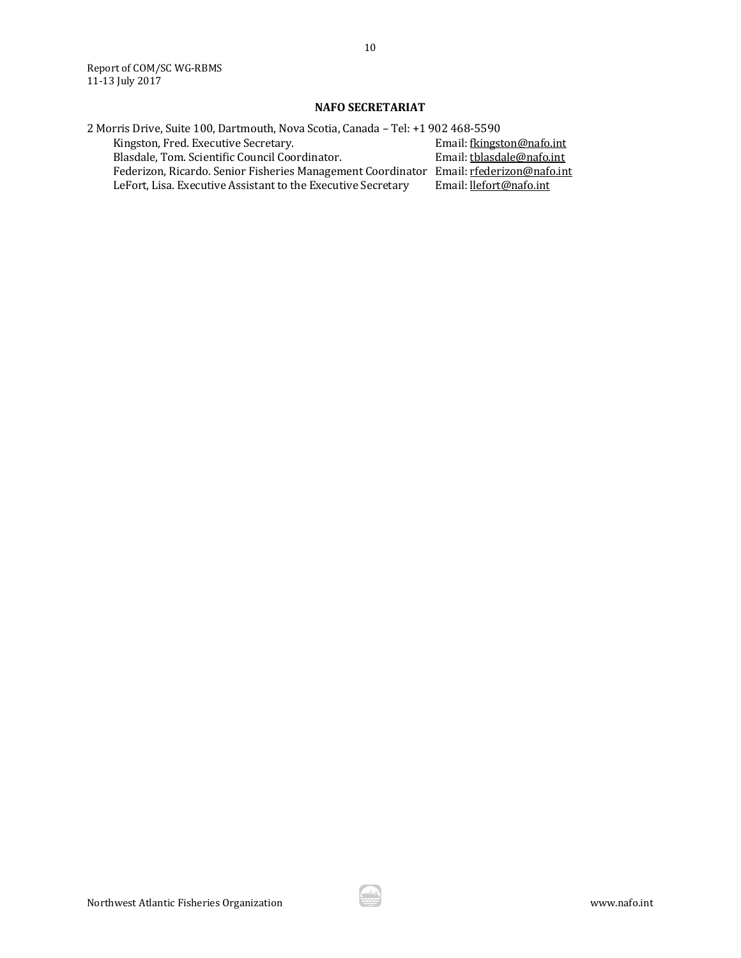## **NAFO SECRETARIAT**

| 2 Morris Drive, Suite 100, Dartmouth, Nova Scotia, Canada - Tel: +1 902 468-5590       |                           |  |  |  |  |
|----------------------------------------------------------------------------------------|---------------------------|--|--|--|--|
| Kingston, Fred. Executive Secretary.                                                   | Email: fkingston@nafo.int |  |  |  |  |
| Blasdale, Tom. Scientific Council Coordinator.                                         | Email: tblasdale@nafo.int |  |  |  |  |
| Federizon, Ricardo. Senior Fisheries Management Coordinator Email: rfederizon@nafo.int |                           |  |  |  |  |
| LeFort, Lisa. Executive Assistant to the Executive Secretary                           | Email: llefort@nafo.int   |  |  |  |  |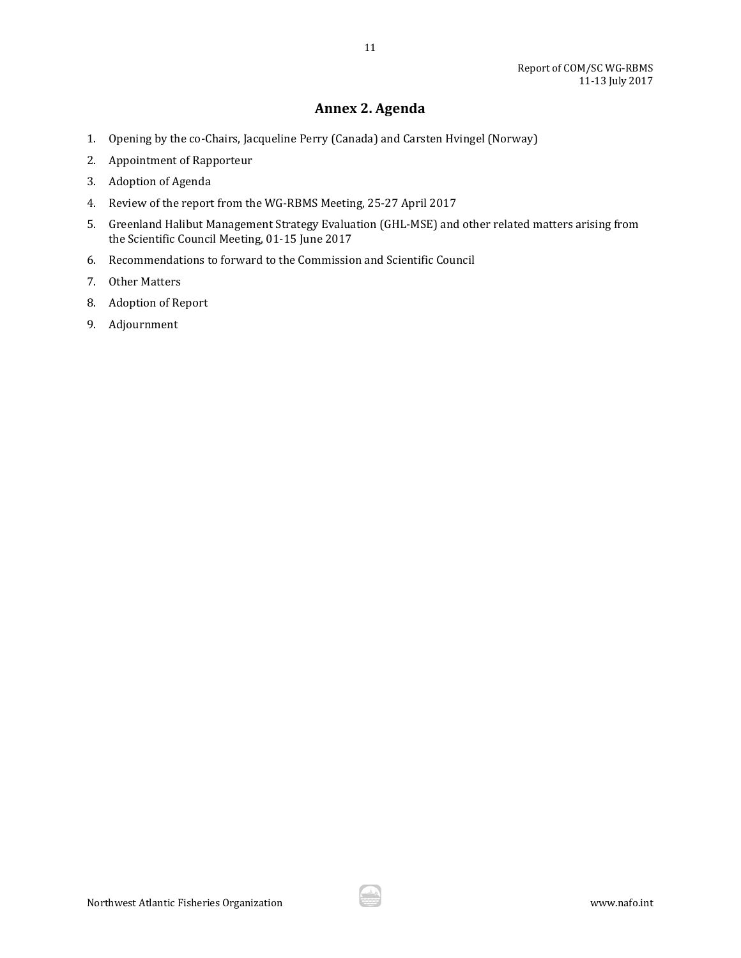# **Annex 2. Agenda**

11

- <span id="page-10-0"></span>1. Opening by the co-Chairs, Jacqueline Perry (Canada) and Carsten Hvingel (Norway)
- 2. Appointment of Rapporteur
- 3. Adoption of Agenda
- 4. Review of the report from the WG-RBMS Meeting, 25-27 April 2017
- 5. Greenland Halibut Management Strategy Evaluation (GHL-MSE) and other related matters arising from the Scientific Council Meeting, 01-15 June 2017
- 6. Recommendations to forward to the Commission and Scientific Council
- 7. Other Matters
- 8. Adoption of Report
- 9. Adjournment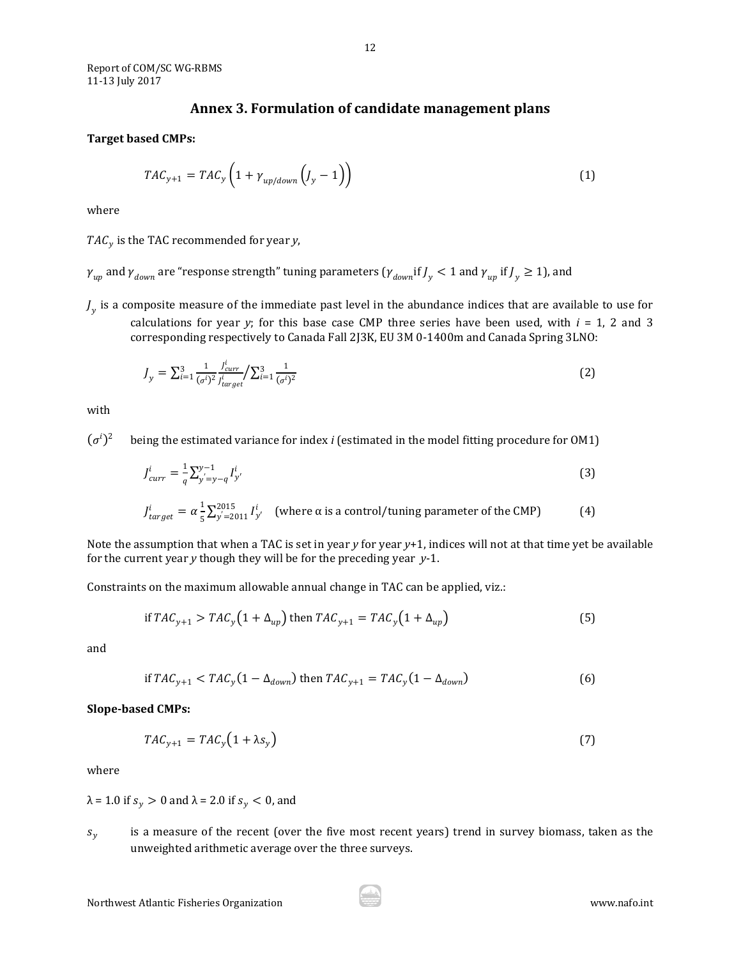## **Annex 3. Formulation of candidate management plans**

#### <span id="page-11-0"></span>**Target based CMPs:**

$$
TAC_{y+1} = TAC_y \left( 1 + \gamma_{up/down} \left( J_y - 1 \right) \right) \tag{1}
$$

where

 $TAC<sub>v</sub>$  is the TAC recommended for year *y*,

- $\gamma_{up}$  and  $\gamma_{down}$  are "response strength" tuning parameters (  $\gamma_{down}$  if  $\cal J_y$   $< 1$  and  $\gamma_{up}$  if  $\cal J_y$   $\geq 1$  ), and
- $J_{\nu}$  is a composite measure of the immediate past level in the abundance indices that are available to use for calculations for year *y*; for this base case CMP three series have been used, with  $i = 1, 2$  and 3 corresponding respectively to Canada Fall 2J3K, EU 3M 0-1400m and Canada Spring 3LNO:

$$
J_{y} = \sum_{i=1}^{3} \frac{1}{(\sigma^{i})^{2}} \frac{J_{curr}^{i}}{J_{target}^{i}} / \sum_{i=1}^{3} \frac{1}{(\sigma^{i})^{2}}
$$
(2)

with

 $(\sigma^i)^2$ )2 being the estimated variance for index *i* (estimated in the model fitting procedure for OM1)

$$
J_{curr}^i = \frac{1}{q} \sum_{y'=y-q}^{y-1} I_{y'}^i
$$
 (3)

$$
J_{target}^{i} = \alpha \frac{1}{5} \sum_{y'=2011}^{2015} I_{y'}^{i}
$$
 (where  $\alpha$  is a control/tuning parameter of the CMD) (4)

Note the assumption that when a TAC is set in year *y* for year *y*+1, indices will not at that time yet be available for the current year *y* though they will be for the preceding year *y*-1.

Constraints on the maximum allowable annual change in TAC can be applied, viz.:

$$
\text{if } TAC_{y+1} > TAC_y \left(1 + \Delta_{up}\right) \text{ then } TAC_{y+1} = TAC_y \left(1 + \Delta_{up}\right) \tag{5}
$$

and

if 
$$
TAC_{y+1} < TAC_y(1 - \Delta_{down})
$$
 then  $TAC_{y+1} = TAC_y(1 - \Delta_{down})$  (6)

#### **Slope-based CMPs:**

$$
TAC_{y+1} = TAC_y(1 + \lambda s_y)
$$
\n(7)

where

 $\lambda$  = 1.0 if  $s_v > 0$  and  $\lambda$  = 2.0 if  $s_v < 0$ , and

 $s<sub>v</sub>$  is a measure of the recent (over the five most recent years) trend in survey biomass, taken as the unweighted arithmetic average over the three surveys.